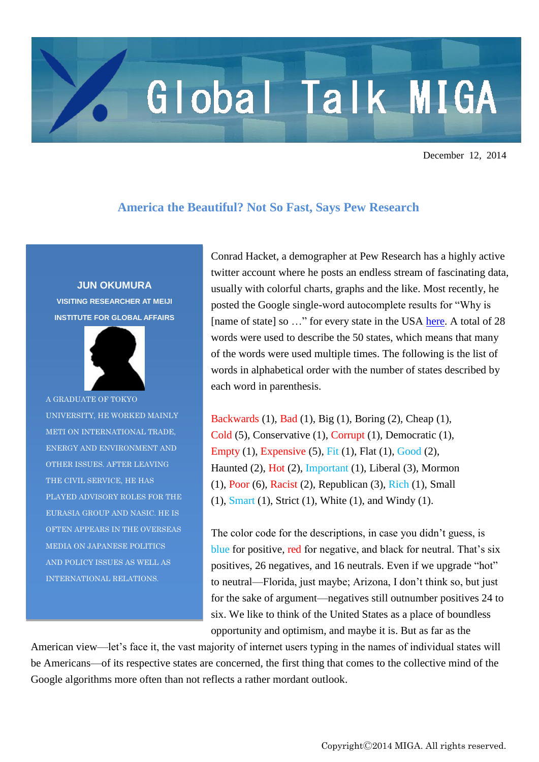## Global Talk MIGA

December 12, 2014

## **America the Beautiful? Not So Fast, Says Pew Research**

**JUN OKUMURA**

**VISITING RESEARCHER AT MEIJI INSTITUTE FOR GLOBAL AFFAIRS**



A GRADUATE OF TOKYO UNIVERSITY, HE WORKED MAINLY METI ON INTERNATIONAL TRADE, ENERGY AND ENVIRONMENT AND OTHER ISSUES. AFTER LEAVING THE CIVIL SERVICE, HE HAS PLAYED ADVISORY ROLES FOR THE EURASIA GROUP AND NASIC. HE IS OFTEN APPEARS IN THE OVERSEAS MEDIA ON JAPANESE POLITICS AND POLICY ISSUES AS WELL AS INTERNATIONAL RELATIONS.

Conrad Hacket, a demographer at Pew Research has a highly active twitter account where he posts an endless stream of fascinating data, usually with colorful charts, graphs and the like. Most recently, he posted the Google single-word autocomplete results for "Why is [name of state] so ..." for every state in the USA [here.](https://twitter.com/conradhackett/status/536720869112836096) A total of 28 words were used to describe the 50 states, which means that many of the words were used multiple times. The following is the list of words in alphabetical order with the number of states described by each word in parenthesis.

Backwards (1), Bad (1), Big (1), Boring (2), Cheap (1), Cold (5), Conservative (1), Corrupt (1), Democratic (1), Empty (1), Expensive (5), Fit (1), Flat (1), Good (2), Haunted (2), Hot (2), Important (1), Liberal (3), Mormon (1), Poor (6), Racist (2), Republican (3), Rich (1), Small (1), Smart (1), Strict (1), White (1), and Windy (1).

The color code for the descriptions, in case you didn't guess, is blue for positive, red for negative, and black for neutral. That's six positives, 26 negatives, and 16 neutrals. Even if we upgrade "hot" to neutral—Florida, just maybe; Arizona, I don't think so, but just for the sake of argument—negatives still outnumber positives 24 to six. We like to think of the United States as a place of boundless opportunity and optimism, and maybe it is. But as far as the

American view—let's face it, the vast majority of internet users typing in the names of individual states will be Americans—of its respective states are concerned, the first thing that comes to the collective mind of the Google algorithms more often than not reflects a rather mordant outlook.